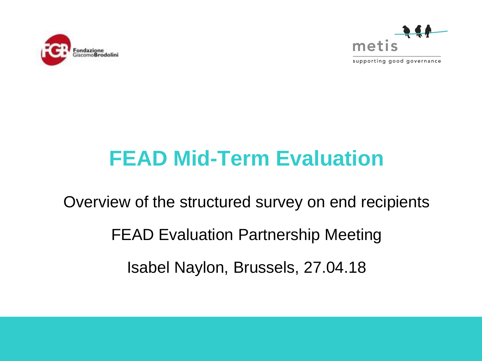



supporting good governance

# **FEAD Mid-Term Evaluation**

Overview of the structured survey on end recipients FEAD Evaluation Partnership Meeting Isabel Naylon, Brussels, 27.04.18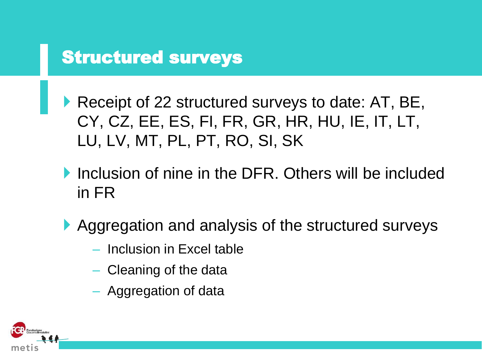### Structured surveys

- Receipt of 22 structured surveys to date: AT, BE, CY, CZ, EE, ES, FI, FR, GR, HR, HU, IE, IT, LT, LU, LV, MT, PL, PT, RO, SI, SK
- Inclusion of nine in the DFR. Others will be included in FR
- ▶ Aggregation and analysis of the structured surveys
	- Inclusion in Excel table
	- Cleaning of the data
	- Aggregation of data

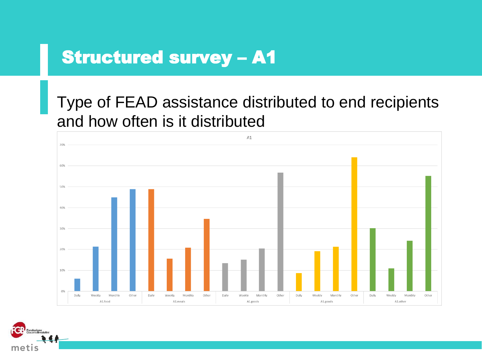Type of FEAD assistance distributed to end recipients and how often is it distributed



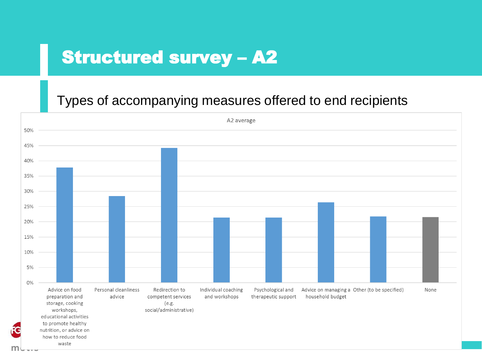#### Types of accompanying measures offered to end recipients

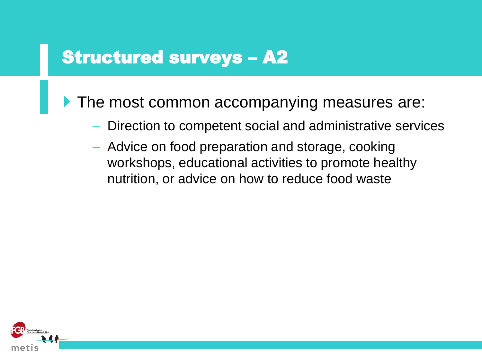The most common accompanying measures are:

- Direction to competent social and administrative services
- Advice on food preparation and storage, cooking workshops, educational activities to promote healthy nutrition, or advice on how to reduce food waste

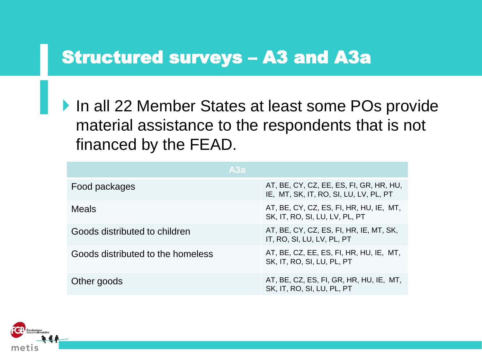#### Structured surveys – A3 and A3a

▶ In all 22 Member States at least some POs provide material assistance to the respondents that is not financed by the FEAD.

| A3a                               |                                                                                   |
|-----------------------------------|-----------------------------------------------------------------------------------|
| Food packages                     | AT, BE, CY, CZ, EE, ES, FI, GR, HR, HU,<br>IE, MT, SK, IT, RO, SI, LU, LV, PL, PT |
| <b>Meals</b>                      | AT, BE, CY, CZ, ES, FI, HR, HU, IE, MT,<br>SK, IT, RO, SI, LU, LV, PL, PT         |
| Goods distributed to children     | AT, BE, CY, CZ, ES, FI, HR, IE, MT, SK,<br>IT, RO, SI, LU, LV, PL, PT             |
| Goods distributed to the homeless | AT, BE, CZ, EE, ES, FI, HR, HU, IE, MT,<br>SK, IT, RO, SI, LU, PL, PT             |
| Other goods                       | AT, BE, CZ, ES, FI, GR, HR, HU, IE, MT,<br>SK, IT, RO, SI, LU, PL, PT             |

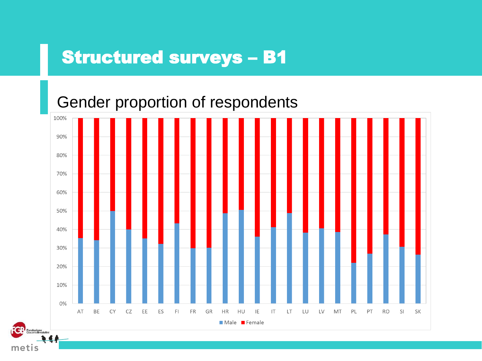Gender proportion of respondents

met

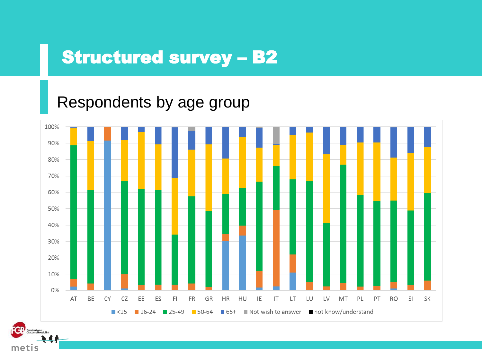#### Respondents by age group



meti

Fondazione<br>Giacomo Brodolini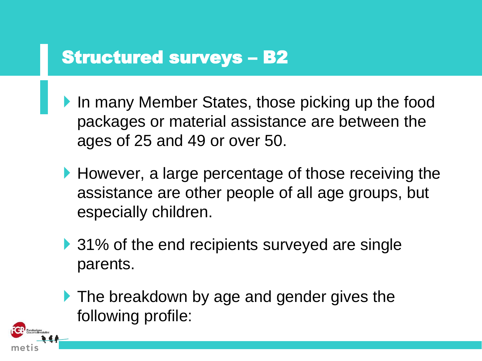- In many Member States, those picking up the food packages or material assistance are between the ages of 25 and 49 or over 50.
- However, a large percentage of those receiving the assistance are other people of all age groups, but especially children.
- ▶ 31% of the end recipients surveyed are single parents.
- **The breakdown by age and gender gives the** following profile:

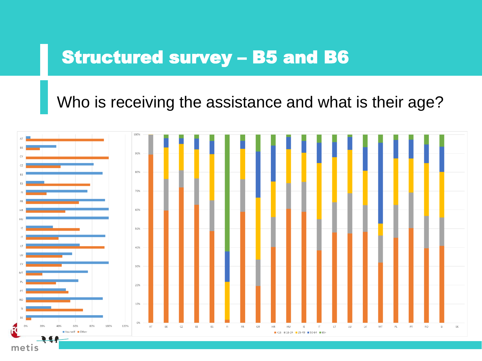# Structured survey – B5 and B6

Who is receiving the assistance and what is their age?

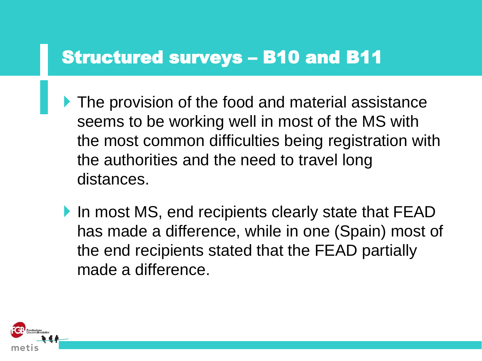### Structured surveys – B10 and B11

- **The provision of the food and material assistance** seems to be working well in most of the MS with the most common difficulties being registration with the authorities and the need to travel long distances.
- In most MS, end recipients clearly state that FEAD has made a difference, while in one (Spain) most of the end recipients stated that the FEAD partially made a difference.

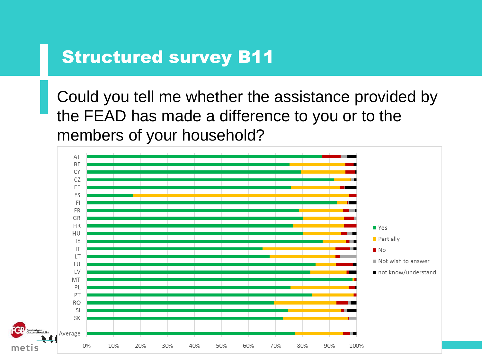Could you tell me whether the assistance provided by the FEAD has made a difference to you or to the members of your household?

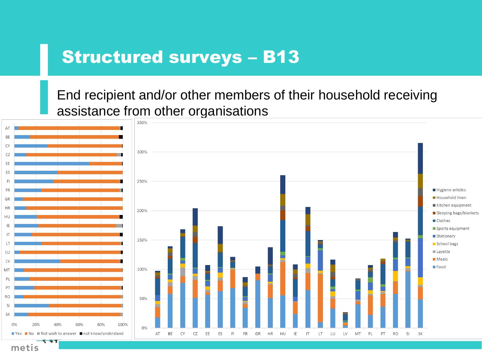End recipient and/or other members of their household receiving assistance from other organisations



metis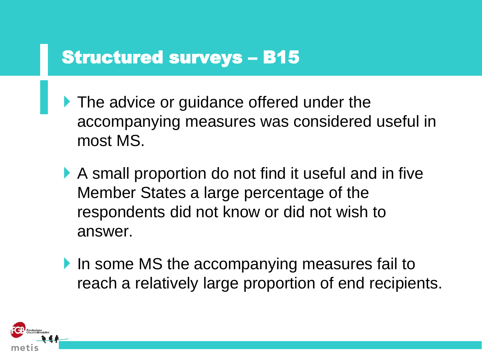- The advice or guidance offered under the accompanying measures was considered useful in most MS.
- A small proportion do not find it useful and in five Member States a large percentage of the respondents did not know or did not wish to answer.
- In some MS the accompanying measures fail to reach a relatively large proportion of end recipients.

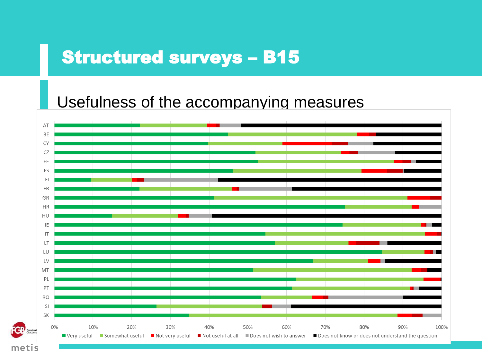#### Usefulness of the accompanying measures

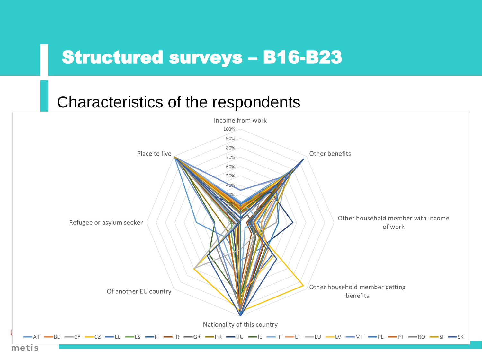#### Characteristics of the respondents